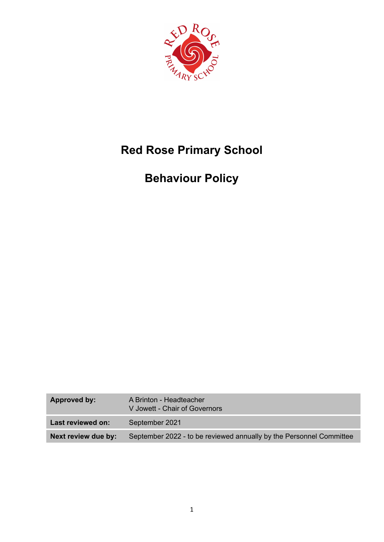

# **Red Rose Primary School**

# **Behaviour Policy**

| Approved by:        | A Brinton - Headteacher<br>V Jowett - Chair of Governors            |
|---------------------|---------------------------------------------------------------------|
| Last reviewed on:   | September 2021                                                      |
| Next review due by: | September 2022 - to be reviewed annually by the Personnel Committee |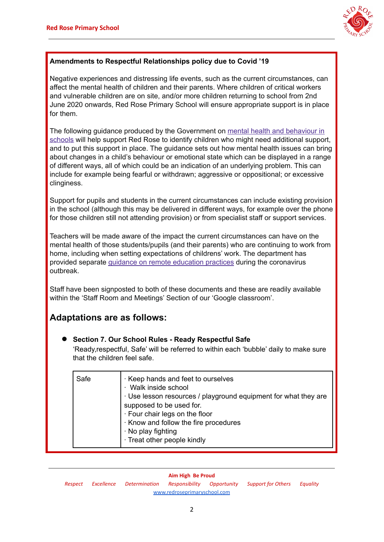

# **Amendments to Respectful Relationships policy due to Covid '19**

Negative experiences and distressing life events, such as the current circumstances, can affect the mental health of children and their parents. Where children of critical workers and vulnerable children are on site, and/or more children returning to school from 2nd June 2020 onwards, Red Rose Primary School will ensure appropriate support is in place for them.

The following guidance produced by the Government on mental health and [behaviour](https://www.gov.uk/government/publications/mental-health-and-behaviour-in-schools--2) in [schools](https://www.gov.uk/government/publications/mental-health-and-behaviour-in-schools--2) will help support Red Rose to identify children who might need additional support, and to put this support in place. The guidance sets out how mental health issues can bring about changes in a child's behaviour or emotional state which can be displayed in a range of different ways, all of which could be an indication of an underlying problem. This can include for example being fearful or withdrawn; aggressive or oppositional; or excessive clinginess.

Support for pupils and students in the current circumstances can include existing provision in the school (although this may be delivered in different ways, for example over the phone for those children still not attending provision) or from specialist staff or support services.

Teachers will be made aware of the impact the current circumstances can have on the mental health of those students/pupils (and their parents) who are continuing to work from home, including when setting expectations of childrens' work. The department has provided separate guidance on remote [education](https://www.gov.uk/guidance/remote-education-practice-for-schools-during-coronavirus-covid-19) practices during the coronavirus outbreak.

Staff have been signposted to both of these documents and these are readily available within the 'Staff Room and Meetings' Section of our 'Google classroom'.

# **Adaptations are as follows:**

● **Section 7. Our School Rules - Ready Respectful Safe** 'Ready,respectful, Safe' will be referred to within each 'bubble' daily to make sure that the children feel safe.

| Safe | $\cdot$ Keep hands and feet to ourselves<br>Walk inside school<br>· Use lesson resources / playground equipment for what they are<br>supposed to be used for.<br>· Four chair legs on the floor<br>Know and follow the fire procedures<br>· No play fighting<br>· Treat other people kindly |
|------|---------------------------------------------------------------------------------------------------------------------------------------------------------------------------------------------------------------------------------------------------------------------------------------------|
|------|---------------------------------------------------------------------------------------------------------------------------------------------------------------------------------------------------------------------------------------------------------------------------------------------|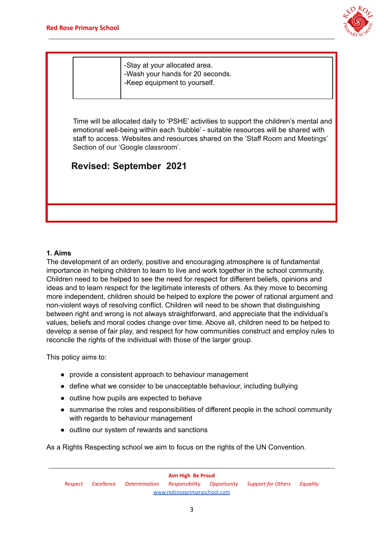

-Stay at your allocated area. -Wash your hands for 20 seconds. -Keep equipment to yourself.

Time will be allocated daily to 'PSHE' activities to support the children's mental and emotional well-being within each 'bubble' - suitable resources will be shared with staff to access. Websites and resources shared on the 'Staff Room and Meetings' Section of our 'Google classroom'.

**Revised: September 2021**

# **1. Aims**

The development of an orderly, positive and encouraging atmosphere is of fundamental importance in helping children to learn to live and work together in the school community. Children need to be helped to see the need for respect for different beliefs, opinions and ideas and to learn respect for the legitimate interests of others. As they move to becoming more independent, children should be helped to explore the power of rational argument and non-violent ways of resolving conflict. Children will need to be shown that distinguishing between right and wrong is not always straightforward, and appreciate that the individual's values, beliefs and moral codes change over time. Above all, children need to be helped to develop a sense of fair play, and respect for how communities construct and employ rules to reconcile the rights of the individual with those of the larger group.

This policy aims to:

- provide a consistent approach to behaviour management
- define what we consider to be unacceptable behaviour, including bullying
- outline how pupils are expected to behave
- summarise the roles and responsibilities of different people in the school community with regards to behaviour management
- outline our system of rewards and sanctions

As a Rights Respecting school we aim to focus on the rights of the UN Convention.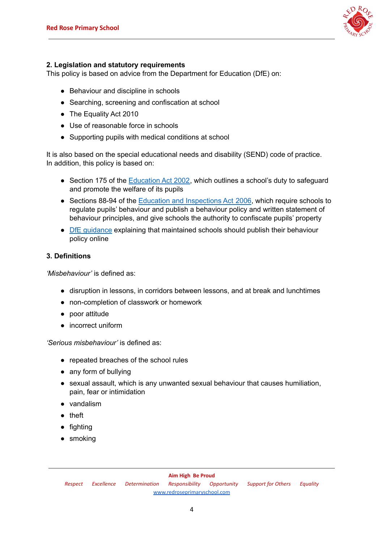

# **2. Legislation and statutory requirements**

This policy is based on advice from the Department for Education (DfE) on:

- [Behaviour](https://www.gov.uk/government/publications/behaviour-and-discipline-in-schools) and discipline in schools
- Searching, screening and [confiscation](https://www.gov.uk/government/publications/searching-screening-and-confiscation) at school
- The [Equality](https://www.gov.uk/government/publications/equality-act-2010-advice-for-schools) Act 2010
- Use of [reasonable](https://www.gov.uk/government/publications/use-of-reasonable-force-in-schools) force in schools
- [Supporting](https://www.gov.uk/government/publications/supporting-pupils-at-school-with-medical-conditions--3) pupils with medical conditions at school

It is also based on the special [educational](https://www.gov.uk/government/publications/send-code-of-practice-0-to-25) needs and disability (SEND) code of practice. In addition, this policy is based on:

- Section 175 of the [Education](http://www.legislation.gov.uk/ukpga/2002/32/section/175) Act 2002, which outlines a school's duty to safeguard and promote the welfare of its pupils
- Sections 88-94 of the Education and [Inspections](http://www.legislation.gov.uk/ukpga/2006/40/section/88) Act 2006, which require schools to regulate pupils' behaviour and publish a behaviour policy and written statement of behaviour principles, and give schools the authority to confiscate pupils' property
- DfE [guidance](https://www.gov.uk/guidance/what-maintained-schools-must-publish-online#behaviour-policy) explaining that maintained schools should publish their behaviour policy online

## **3. Definitions**

*'Misbehaviour'* is defined as:

- disruption in lessons, in corridors between lessons, and at break and lunchtimes
- non-completion of classwork or homework
- poor attitude
- incorrect uniform

*'Serious misbehaviour'* is defined as:

- repeated breaches of the school rules
- any form of bullying
- sexual assault, which is any unwanted sexual behaviour that causes humiliation, pain, fear or intimidation
- vandalism
- theft
- fighting
- smoking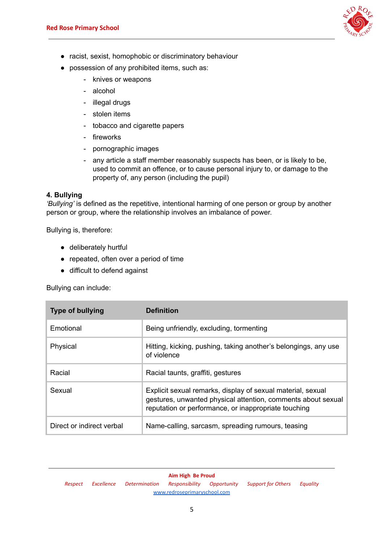

- racist, sexist, homophobic or discriminatory behaviour
- possession of any prohibited items, such as:
	- knives or weapons
	- alcohol
	- illegal drugs
	- stolen items
	- tobacco and cigarette papers
	- fireworks
	- pornographic images
	- any article a staff member reasonably suspects has been, or is likely to be, used to commit an offence, or to cause personal injury to, or damage to the property of, any person (including the pupil)

## **4. Bullying**

*'Bullying'* is defined as the repetitive, intentional harming of one person or group by another person or group, where the relationship involves an imbalance of power.

Bullying is, therefore:

- deliberately hurtful
- repeated, often over a period of time
- difficult to defend against

Bullying can include:

| <b>Type of bullying</b>   | <b>Definition</b>                                                                                                                                                                   |
|---------------------------|-------------------------------------------------------------------------------------------------------------------------------------------------------------------------------------|
| Emotional                 | Being unfriendly, excluding, tormenting                                                                                                                                             |
| Physical                  | Hitting, kicking, pushing, taking another's belongings, any use<br>of violence                                                                                                      |
| Racial                    | Racial taunts, graffiti, gestures                                                                                                                                                   |
| Sexual                    | Explicit sexual remarks, display of sexual material, sexual<br>gestures, unwanted physical attention, comments about sexual<br>reputation or performance, or inappropriate touching |
| Direct or indirect verbal | Name-calling, sarcasm, spreading rumours, teasing                                                                                                                                   |

**Aim High Be Proud** *Respect Excellence Determination Responsibility Opportunity Support for Others Equality* [www.redroseprimaryschool.com](http://www.redroseprimaryschool.com)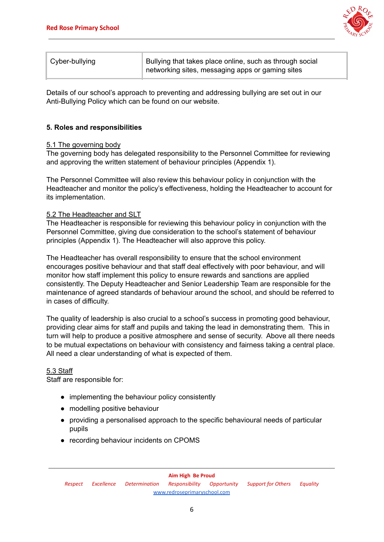

| Cyber-bullying | Bullying that takes place online, such as through social |
|----------------|----------------------------------------------------------|
|                | networking sites, messaging apps or gaming sites         |

Details of our school's approach to preventing and addressing bullying are set out in our Anti-Bullying Policy which can be found on our website.

## **5. Roles and responsibilities**

## 5.1 The governing body

The governing body has delegated responsibility to the Personnel Committee for reviewing and approving the written statement of behaviour principles (Appendix 1).

The Personnel Committee will also review this behaviour policy in conjunction with the Headteacher and monitor the policy's effectiveness, holding the Headteacher to account for its implementation.

## 5.2 The Headteacher and SLT

The Headteacher is responsible for reviewing this behaviour policy in conjunction with the Personnel Committee, giving due consideration to the school's statement of behaviour principles (Appendix 1). The Headteacher will also approve this policy.

The Headteacher has overall responsibility to ensure that the school environment encourages positive behaviour and that staff deal effectively with poor behaviour, and will monitor how staff implement this policy to ensure rewards and sanctions are applied consistently. The Deputy Headteacher and Senior Leadership Team are responsible for the maintenance of agreed standards of behaviour around the school, and should be referred to in cases of difficulty.

The quality of leadership is also crucial to a school's success in promoting good behaviour, providing clear aims for staff and pupils and taking the lead in demonstrating them. This in turn will help to produce a positive atmosphere and sense of security. Above all there needs to be mutual expectations on behaviour with consistency and fairness taking a central place. All need a clear understanding of what is expected of them.

## 5.3 Staff

Staff are responsible for:

- implementing the behaviour policy consistently
- modelling positive behaviour
- providing a personalised approach to the specific behavioural needs of particular pupils
- recording behaviour incidents on CPOMS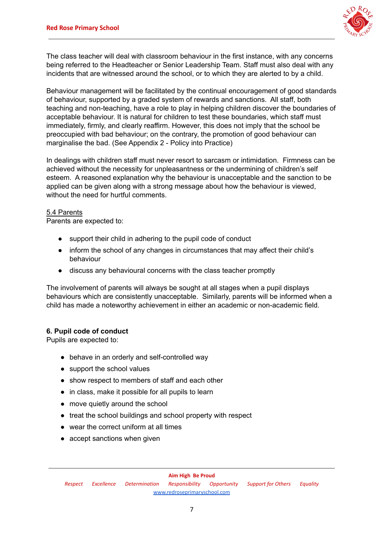

The class teacher will deal with classroom behaviour in the first instance, with any concerns being referred to the Headteacher or Senior Leadership Team. Staff must also deal with any incidents that are witnessed around the school, or to which they are alerted to by a child.

Behaviour management will be facilitated by the continual encouragement of good standards of behaviour, supported by a graded system of rewards and sanctions. All staff, both teaching and non-teaching, have a role to play in helping children discover the boundaries of acceptable behaviour. It is natural for children to test these boundaries, which staff must immediately, firmly, and clearly reaffirm. However, this does not imply that the school be preoccupied with bad behaviour; on the contrary, the promotion of good behaviour can marginalise the bad. (See Appendix 2 - Policy into Practice)

In dealings with children staff must never resort to sarcasm or intimidation. Firmness can be achieved without the necessity for unpleasantness or the undermining of children's self esteem. A reasoned explanation why the behaviour is unacceptable and the sanction to be applied can be given along with a strong message about how the behaviour is viewed, without the need for hurtful comments.

#### 5.4 Parents

Parents are expected to:

- support their child in adhering to the pupil code of conduct
- inform the school of any changes in circumstances that may affect their child's behaviour
- discuss any behavioural concerns with the class teacher promptly

The involvement of parents will always be sought at all stages when a pupil displays behaviours which are consistently unacceptable. Similarly, parents will be informed when a child has made a noteworthy achievement in either an academic or non-academic field.

## **6. Pupil code of conduct**

Pupils are expected to:

- behave in an orderly and self-controlled way
- support the school values
- show respect to members of staff and each other
- in class, make it possible for all pupils to learn
- move quietly around the school
- treat the school buildings and school property with respect
- wear the correct uniform at all times
- accept sanctions when given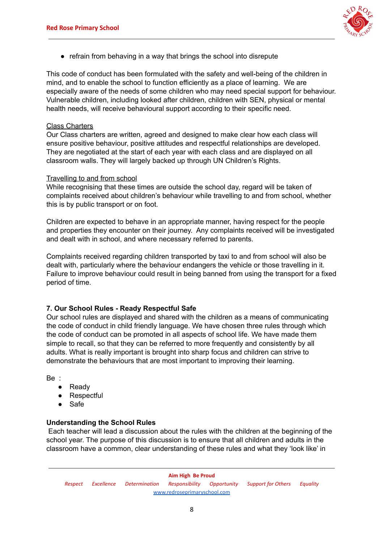

● refrain from behaving in a way that brings the school into disrepute

This code of conduct has been formulated with the safety and well-being of the children in mind, and to enable the school to function efficiently as a place of learning. We are especially aware of the needs of some children who may need special support for behaviour. Vulnerable children, including looked after children, children with SEN, physical or mental health needs, will receive behavioural support according to their specific need.

### Class Charters

Our Class charters are written, agreed and designed to make clear how each class will ensure positive behaviour, positive attitudes and respectful relationships are developed. They are negotiated at the start of each year with each class and are displayed on all classroom walls. They will largely backed up through UN Children's Rights.

#### Travelling to and from school

While recognising that these times are outside the school day, regard will be taken of complaints received about children's behaviour while travelling to and from school, whether this is by public transport or on foot.

Children are expected to behave in an appropriate manner, having respect for the people and properties they encounter on their journey. Any complaints received will be investigated and dealt with in school, and where necessary referred to parents.

Complaints received regarding children transported by taxi to and from school will also be dealt with, particularly where the behaviour endangers the vehicle or those travelling in it. Failure to improve behaviour could result in being banned from using the transport for a fixed period of time.

## **7. Our School Rules - Ready Respectful Safe**

Our school rules are displayed and shared with the children as a means of communicating the code of conduct in child friendly language. We have chosen three rules through which the code of conduct can be promoted in all aspects of school life. We have made them simple to recall, so that they can be referred to more frequently and consistently by all adults. What is really important is brought into sharp focus and children can strive to demonstrate the behaviours that are most important to improving their learning.

Be :

- Ready
- Respectful
- Safe

## **Understanding the School Rules**

Each teacher will lead a discussion about the rules with the children at the beginning of the school year. The purpose of this discussion is to ensure that all children and adults in the classroom have a common, clear understanding of these rules and what they 'look like' in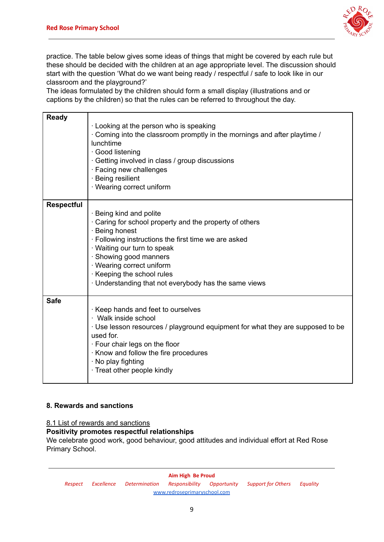

practice. The table below gives some ideas of things that might be covered by each rule but these should be decided with the children at an age appropriate level. The discussion should start with the question 'What do we want being ready / respectful / safe to look like in our classroom and the playground?'

The ideas formulated by the children should form a small display (illustrations and or captions by the children) so that the rules can be referred to throughout the day.

| <b>Ready</b>      | . Looking at the person who is speaking<br>Coming into the classroom promptly in the mornings and after playtime /<br>lunchtime<br>· Good listening<br>· Getting involved in class / group discussions<br>· Facing new challenges<br>· Being resilient<br>· Wearing correct uniform                                                     |
|-------------------|-----------------------------------------------------------------------------------------------------------------------------------------------------------------------------------------------------------------------------------------------------------------------------------------------------------------------------------------|
| <b>Respectful</b> | · Being kind and polite<br>· Caring for school property and the property of others<br>· Being honest<br>· Following instructions the first time we are asked<br>· Waiting our turn to speak<br>· Showing good manners<br>· Wearing correct uniform<br>Keeping the school rules<br>· Understanding that not everybody has the same views |
| <b>Safe</b>       | · Keep hands and feet to ourselves<br>· Walk inside school<br>· Use lesson resources / playground equipment for what they are supposed to be<br>used for.<br>· Four chair legs on the floor<br>· Know and follow the fire procedures<br>· No play fighting<br>· Treat other people kindly                                               |

# **8. Rewards and sanctions**

#### 8.1 List of rewards and sanctions

## **Positivity promotes respectful relationships**

We celebrate good work, good behaviour, good attitudes and individual effort at Red Rose Primary School.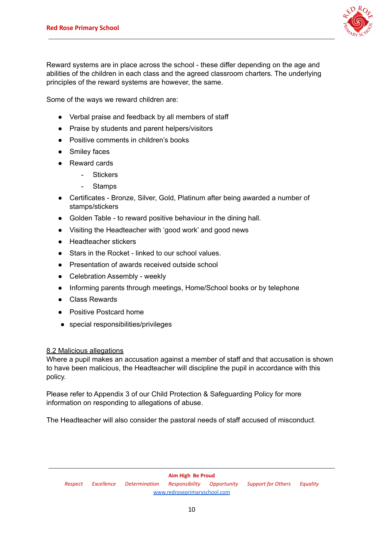

Reward systems are in place across the school - these differ depending on the age and abilities of the children in each class and the agreed classroom charters. The underlying principles of the reward systems are however, the same.

Some of the ways we reward children are:

- Verbal praise and feedback by all members of staff
- Praise by students and parent helpers/visitors
- Positive comments in children's books
- Smiley faces
- Reward cards
	- Stickers
		- **Stamps**
- Certificates Bronze, Silver, Gold, Platinum after being awarded a number of stamps/stickers
- Golden Table to reward positive behaviour in the dining hall.
- Visiting the Headteacher with 'good work' and good news
- Headteacher stickers
- Stars in the Rocket linked to our school values.
- Presentation of awards received outside school
- Celebration Assembly weekly
- Informing parents through meetings, Home/School books or by telephone
- Class Rewards
- Positive Postcard home
- special responsibilities/privileges

## 8.2 Malicious allegations

Where a pupil makes an accusation against a member of staff and that accusation is shown to have been malicious, the Headteacher will discipline the pupil in accordance with this policy.

Please refer to Appendix 3 of our Child Protection & Safeguarding Policy for more information on responding to allegations of abuse.

The Headteacher will also consider the pastoral needs of staff accused of misconduct.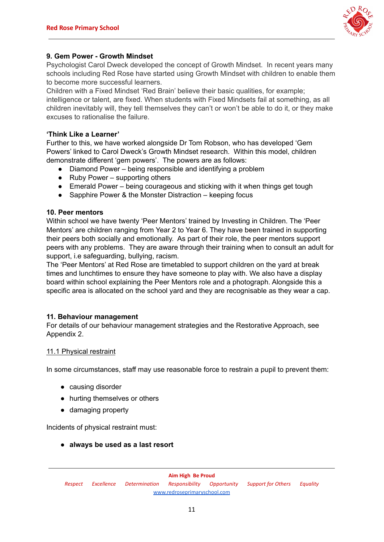

# **9. Gem Power - Growth Mindset**

Psychologist Carol Dweck developed the concept of Growth Mindset. In recent years many schools including Red Rose have started using Growth Mindset with children to enable them to become more successful learners.

Children with a Fixed Mindset 'Red Brain' believe their basic qualities, for example; intelligence or talent, are fixed. When students with Fixed Mindsets fail at something, as all children inevitably will, they tell themselves they can't or won't be able to do it, or they make excuses to rationalise the failure.

## **'Think Like a Learner'**

Further to this, we have worked alongside Dr Tom Robson, who has developed 'Gem Powers' linked to Carol Dweck's Growth Mindset research. Within this model, children demonstrate different 'gem powers'. The powers are as follows:

- Diamond Power being responsible and identifying a problem
- $\bullet$  Ruby Power supporting others
- Emerald Power being courageous and sticking with it when things get tough
- Sapphire Power & the Monster Distraction keeping focus

#### **10. Peer mentors**

Within school we have twenty 'Peer Mentors' trained by Investing in Children. The 'Peer Mentors' are children ranging from Year 2 to Year 6. They have been trained in supporting their peers both socially and emotionally. As part of their role, the peer mentors support peers with any problems. They are aware through their training when to consult an adult for support, i.e safeguarding, bullying, racism.

The 'Peer Mentors' at Red Rose are timetabled to support children on the yard at break times and lunchtimes to ensure they have someone to play with. We also have a display board within school explaining the Peer Mentors role and a photograph. Alongside this a specific area is allocated on the school yard and they are recognisable as they wear a cap.

## **11. Behaviour management**

For details of our behaviour management strategies and the Restorative Approach, see Appendix 2.

#### 11.1 Physical restraint

In some circumstances, staff may use reasonable force to restrain a pupil to prevent them:

- causing disorder
- hurting themselves or others
- damaging property

Incidents of physical restraint must:

**● always be used as a last resort**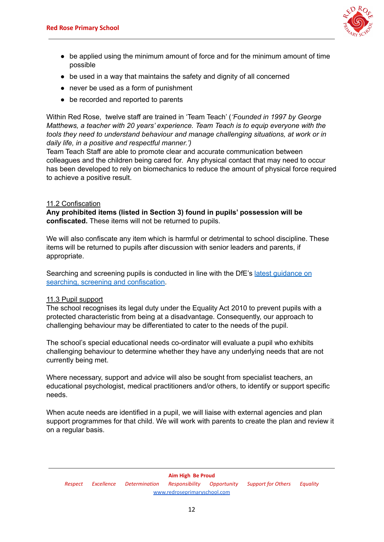

- be applied using the minimum amount of force and for the minimum amount of time possible
- be used in a way that maintains the safety and dignity of all concerned
- never be used as a form of punishment
- be recorded and reported to parents

Within Red Rose, twelve staff are trained in 'Team Teach' (*'Founded in 1997 by George Matthews, a teacher with 20 years' experience. Team Teach is to equip everyone with the tools they need to understand behaviour and manage challenging situations, at work or in daily life, in a positive and respectful manner.')*

Team Teach Staff are able to promote clear and accurate communication between colleagues and the children being cared for. Any physical contact that may need to occur has been developed to rely on biomechanics to reduce the amount of physical force required to achieve a positive result.

## 11.2 Confiscation

**Any prohibited items (listed in Section 3) found in pupils' possession will be confiscated.** These items will not be returned to pupils.

We will also confiscate any item which is harmful or detrimental to school discipline. These items will be returned to pupils after discussion with senior leaders and parents, if appropriate.

Searching and screening pupils is conducted in line with the DfE's latest [guidance](https://www.gov.uk/government/publications/searching-screening-and-confiscation) on searching, screening and [confiscation.](https://www.gov.uk/government/publications/searching-screening-and-confiscation)

## 11.3 Pupil support

The school recognises its legal duty under the Equality Act 2010 to prevent pupils with a protected characteristic from being at a disadvantage. Consequently, our approach to challenging behaviour may be differentiated to cater to the needs of the pupil.

The school's special educational needs co-ordinator will evaluate a pupil who exhibits challenging behaviour to determine whether they have any underlying needs that are not currently being met.

Where necessary, support and advice will also be sought from specialist teachers, an educational psychologist, medical practitioners and/or others, to identify or support specific needs.

When acute needs are identified in a pupil, we will liaise with external agencies and plan support programmes for that child. We will work with parents to create the plan and review it on a regular basis.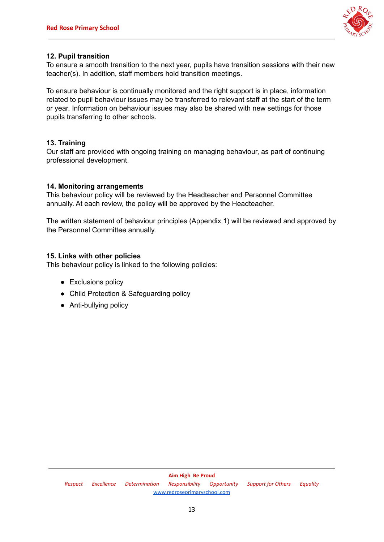

## **12. Pupil transition**

To ensure a smooth transition to the next year, pupils have transition sessions with their new teacher(s). In addition, staff members hold transition meetings.

To ensure behaviour is continually monitored and the right support is in place, information related to pupil behaviour issues may be transferred to relevant staff at the start of the term or year. Information on behaviour issues may also be shared with new settings for those pupils transferring to other schools.

## **13. Training**

Our staff are provided with ongoing training on managing behaviour, as part of continuing professional development.

#### **14. Monitoring arrangements**

This behaviour policy will be reviewed by the Headteacher and Personnel Committee annually. At each review, the policy will be approved by the Headteacher.

The written statement of behaviour principles (Appendix 1) will be reviewed and approved by the Personnel Committee annually.

#### **15. Links with other policies**

This behaviour policy is linked to the following policies:

- Exclusions policy
- Child Protection & Safeguarding policy
- Anti-bullying policy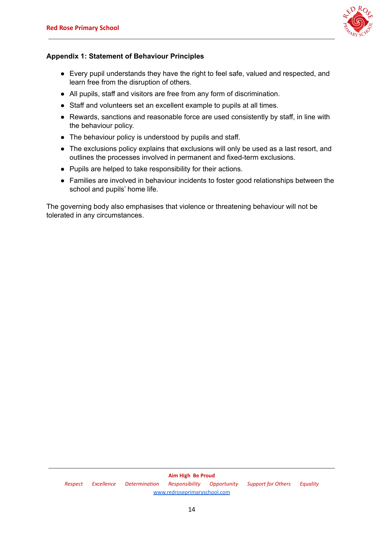

## **Appendix 1: Statement of Behaviour Principles**

- Every pupil understands they have the right to feel safe, valued and respected, and learn free from the disruption of others.
- All pupils, staff and visitors are free from any form of discrimination.
- Staff and volunteers set an excellent example to pupils at all times.
- Rewards, sanctions and reasonable force are used consistently by staff, in line with the behaviour policy.
- The behaviour policy is understood by pupils and staff.
- *●* The exclusions policy explains that exclusions will only be used as a last resort, and outlines the processes involved in permanent and fixed-term exclusions.
- *●* Pupils are helped to take responsibility for their actions.
- *●* Families are involved in behaviour incidents to foster good relationships between the school and pupils' home life.

The governing body also emphasises that violence or threatening behaviour will not be tolerated in any circumstances.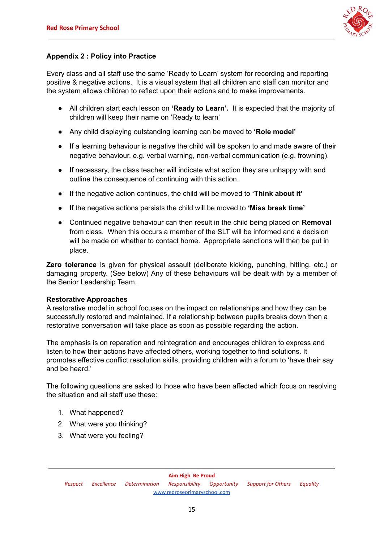

# **Appendix 2 : Policy into Practice**

Every class and all staff use the same 'Ready to Learn' system for recording and reporting positive & negative actions. It is a visual system that all children and staff can monitor and the system allows children to reflect upon their actions and to make improvements.

- All children start each lesson on **'Ready to Learn'.** It is expected that the majority of children will keep their name on 'Ready to learn'
- Any child displaying outstanding learning can be moved to **'Role model'**
- If a learning behaviour is negative the child will be spoken to and made aware of their negative behaviour, e.g. verbal warning, non-verbal communication (e.g. frowning).
- If necessary, the class teacher will indicate what action they are unhappy with and outline the consequence of continuing with this action.
- If the negative action continues, the child will be moved to **'Think about it'**
- If the negative actions persists the child will be moved to **'Miss break time'**
- Continued negative behaviour can then result in the child being placed on **Removal** from class. When this occurs a member of the SLT will be informed and a decision will be made on whether to contact home. Appropriate sanctions will then be put in place.

**Zero tolerance** is given for physical assault (deliberate kicking, punching, hitting, etc.) or damaging property. (See below) Any of these behaviours will be dealt with by a member of the Senior Leadership Team.

## **Restorative Approaches**

A restorative model in school focuses on the impact on relationships and how they can be successfully restored and maintained. If a relationship between pupils breaks down then a restorative conversation will take place as soon as possible regarding the action.

The emphasis is on reparation and reintegration and encourages children to express and listen to how their actions have affected others, working together to find solutions. It promotes effective conflict resolution skills, providing children with a forum to 'have their say and be heard.'

The following questions are asked to those who have been affected which focus on resolving the situation and all staff use these:

- 1. What happened?
- 2. What were you thinking?
- 3. What were you feeling?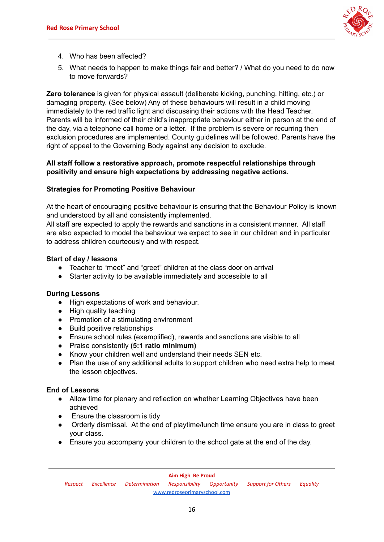

- 4. Who has been affected?
- 5. What needs to happen to make things fair and better? / What do you need to do now to move forwards?

**Zero tolerance** is given for physical assault (deliberate kicking, punching, hitting, etc.) or damaging property. (See below) Any of these behaviours will result in a child moving immediately to the red traffic light and discussing their actions with the Head Teacher. Parents will be informed of their child's inappropriate behaviour either in person at the end of the day, via a telephone call home or a letter. If the problem is severe or recurring then exclusion procedures are implemented. County guidelines will be followed. Parents have the right of appeal to the Governing Body against any decision to exclude.

# **All staff follow a restorative approach, promote respectful relationships through positivity and ensure high expectations by addressing negative actions.**

# **Strategies for Promoting Positive Behaviour**

At the heart of encouraging positive behaviour is ensuring that the Behaviour Policy is known and understood by all and consistently implemented.

All staff are expected to apply the rewards and sanctions in a consistent manner. All staff are also expected to model the behaviour we expect to see in our children and in particular to address children courteously and with respect.

## **Start of day / lessons**

- Teacher to "meet" and "greet" children at the class door on arrival
- Starter activity to be available immediately and accessible to all

## **During Lessons**

- High expectations of work and behaviour.
- High quality teaching
- Promotion of a stimulating environment
- Build positive relationships
- Ensure school rules (exemplified), rewards and sanctions are visible to all
- Praise consistently **(5:1 ratio minimum)**
- Know your children well and understand their needs SEN etc.
- Plan the use of any additional adults to support children who need extra help to meet the lesson objectives.

## **End of Lessons**

- Allow time for plenary and reflection on whether Learning Objectives have been achieved
- Ensure the classroom is tidy
- Orderly dismissal. At the end of playtime/lunch time ensure you are in class to greet your class.
- Ensure you accompany your children to the school gate at the end of the day.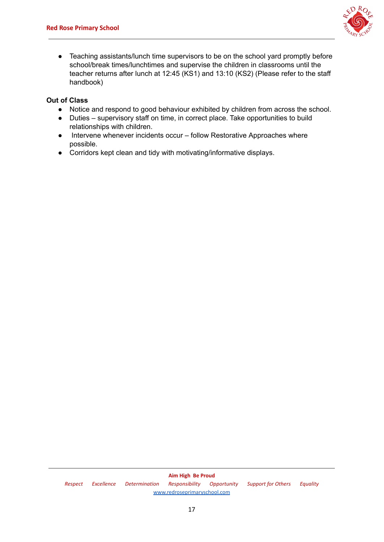

● Teaching assistants/lunch time supervisors to be on the school yard promptly before school/break times/lunchtimes and supervise the children in classrooms until the teacher returns after lunch at 12:45 (KS1) and 13:10 (KS2) (Please refer to the staff handbook)

# **Out of Class**

- Notice and respond to good behaviour exhibited by children from across the school.
- Duties supervisory staff on time, in correct place. Take opportunities to build relationships with children.
- Intervene whenever incidents occur follow Restorative Approaches where possible.
- Corridors kept clean and tidy with motivating/informative displays.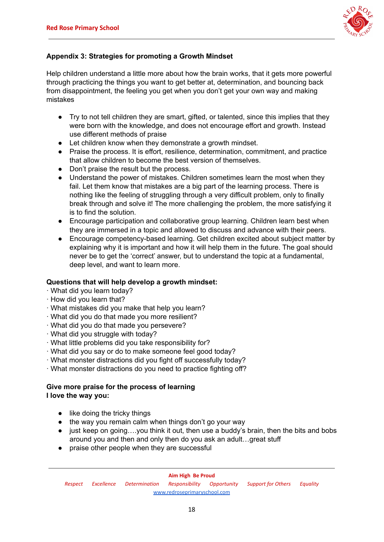

# **Appendix 3: Strategies for promoting a Growth Mindset**

Help children understand a little more about how the brain works, that it gets more powerful through practicing the things you want to get better at, determination, and bouncing back from disappointment, the feeling you get when you don't get your own way and making mistakes

- Try to not tell children they are smart, gifted, or talented, since this implies that they were born with the knowledge, and does not encourage effort and growth. Instead use different methods of praise
- Let children know when they demonstrate a growth mindset.
- Praise the process. It is effort, resilience, determination, commitment, and practice that allow children to become the best version of themselves.
- Don't praise the result but the process.
- Understand the power of mistakes. Children sometimes learn the most when they fail. Let them know that mistakes are a big part of the learning process. There is nothing like the feeling of struggling through a very difficult problem, only to finally break through and solve it! The more challenging the problem, the more satisfying it is to find the solution.
- Encourage participation and collaborative group learning. Children learn best when they are immersed in a topic and allowed to discuss and advance with their peers.
- Encourage competency-based learning. Get children excited about subject matter by explaining why it is important and how it will help them in the future. The goal should never be to get the 'correct' answer, but to understand the topic at a fundamental, deep level, and want to learn more.

## **Questions that will help develop a growth mindset:**

- · What did you learn today?
- · How did you learn that?
- · What mistakes did you make that help you learn?
- · What did you do that made you more resilient?
- · What did you do that made you persevere?
- · What did you struggle with today?
- · What little problems did you take responsibility for?
- · What did you say or do to make someone feel good today?
- · What monster distractions did you fight off successfully today?
- · What monster distractions do you need to practice fighting off?

# **Give more praise for the process of learning I love the way you:**

- like doing the tricky things
- the way you remain calm when things don't go your way
- just keep on going….you think it out, then use a buddy's brain, then the bits and bobs around you and then and only then do you ask an adult…great stuff
- praise other people when they are successful